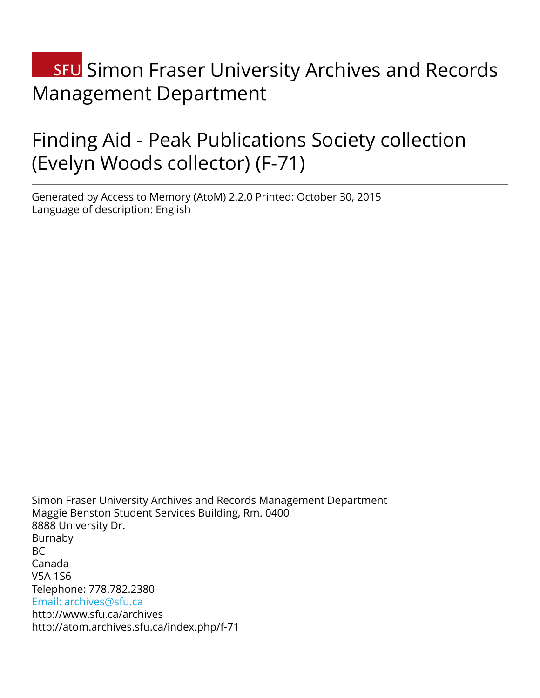# **SFU** Simon Fraser University Archives and Records Management Department

# Finding Aid - Peak Publications Society collection (Evelyn Woods collector) (F-71)

Generated by Access to Memory (AtoM) 2.2.0 Printed: October 30, 2015 Language of description: English

Simon Fraser University Archives and Records Management Department Maggie Benston Student Services Building, Rm. 0400 8888 University Dr. Burnaby  $BC$ Canada V5A 1S6 Telephone: 778.782.2380 [Email: archives@sfu.ca](mailto:Email: archives@sfu.ca) http://www.sfu.ca/archives http://atom.archives.sfu.ca/index.php/f-71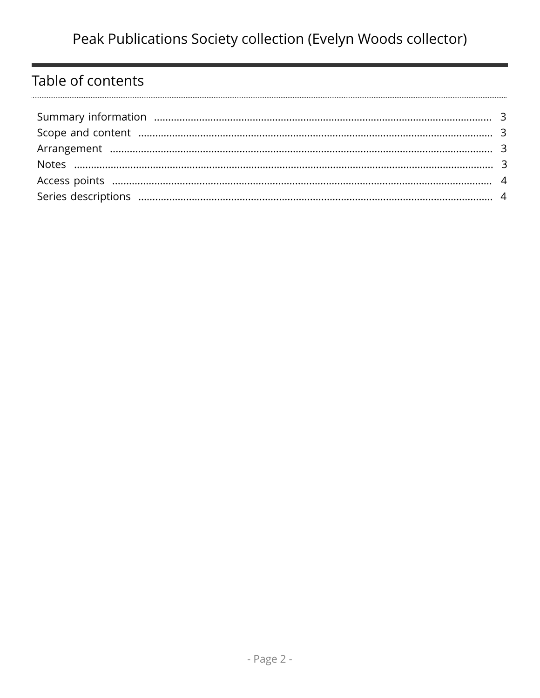# Table of contents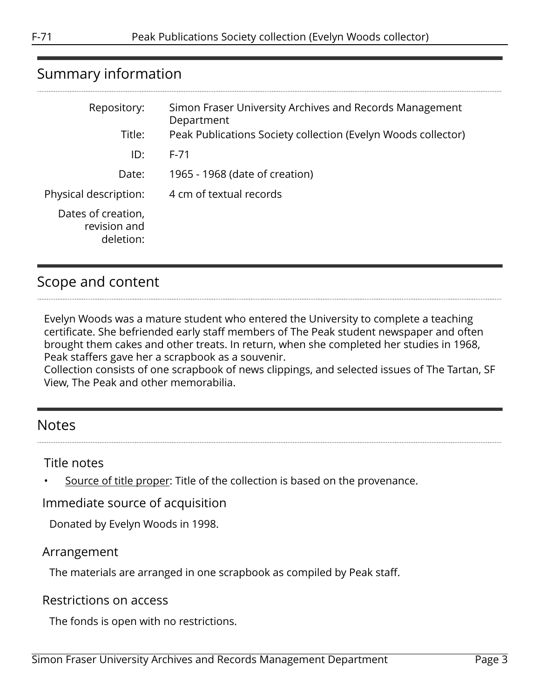# <span id="page-2-0"></span>Summary information

| Repository:                                     | Simon Fraser University Archives and Records Management<br>Department |
|-------------------------------------------------|-----------------------------------------------------------------------|
| Title:                                          | Peak Publications Society collection (Evelyn Woods collector)         |
| ID:                                             | $F - 71$                                                              |
| Date:                                           | 1965 - 1968 (date of creation)                                        |
| Physical description:                           | 4 cm of textual records                                               |
| Dates of creation,<br>revision and<br>deletion: |                                                                       |

# <span id="page-2-1"></span>Scope and content

Evelyn Woods was a mature student who entered the University to complete a teaching certificate. She befriended early staff members of The Peak student newspaper and often brought them cakes and other treats. In return, when she completed her studies in 1968, Peak staffers gave her a scrapbook as a souvenir.

Collection consists of one scrapbook of news clippings, and selected issues of The Tartan, SF View, The Peak and other memorabilia.

## <span id="page-2-3"></span>Notes

Title notes

Source of title proper: Title of the collection is based on the provenance.

Immediate source of acquisition

Donated by Evelyn Woods in 1998.

### <span id="page-2-2"></span>Arrangement

The materials are arranged in one scrapbook as compiled by Peak staff.

#### Restrictions on access

The fonds is open with no restrictions.